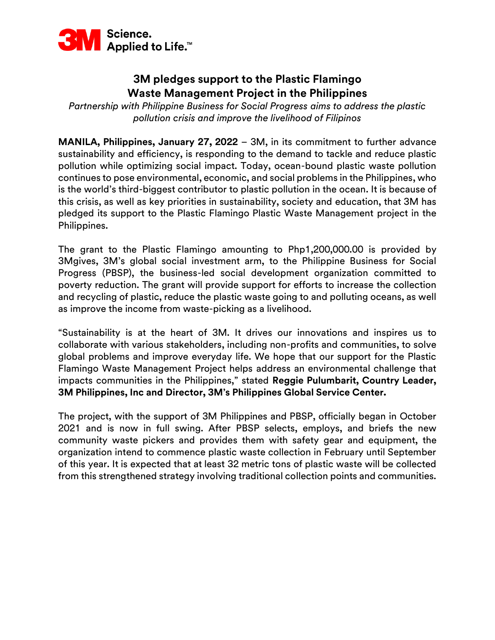

## **3M pledges support to the Plastic Flamingo Waste Management Project in the Philippines**

*Partnership with Philippine Business for Social Progress aims to address the plastic pollution crisis and improve the livelihood of Filipinos*

**MANILA, Philippines, January 27, 2022** – 3M, in its commitment to further advance sustainability and efficiency, is responding to the demand to tackle and reduce plastic pollution while optimizing social impact. Today, ocean-bound plastic waste pollution continues to pose environmental, economic, and social problems in the Philippines, who is the world's third-biggest contributor to plastic pollution in the ocean. It is because of this crisis, as well as key priorities in sustainability, society and education, that 3M has pledged its support to the Plastic Flamingo Plastic Waste Management project in the Philippines.

The grant to the Plastic Flamingo amounting to Php1,200,000.00 is provided by 3Mgives, 3M's global social investment arm, to the Philippine Business for Social Progress (PBSP), the business-led social development organization committed to poverty reduction. The grant will provide support for efforts to increase the collection and recycling of plastic, reduce the plastic waste going to and polluting oceans, as well as improve the income from waste-picking as a livelihood.

"Sustainability is at the heart of 3M. It drives our innovations and inspires us to collaborate with various stakeholders, including non-profits and communities, to solve global problems and improve everyday life. We hope that our support for the Plastic Flamingo Waste Management Project helps address an environmental challenge that impacts communities in the Philippines," stated **Reggie Pulumbarit, Country Leader, 3M Philippines, Inc and Director, 3M's Philippines Global Service Center.**

The project, with the support of 3M Philippines and PBSP, officially began in October 2021 and is now in full swing. After PBSP selects, employs, and briefs the new community waste pickers and provides them with safety gear and equipment, the organization intend to commence plastic waste collection in February until September of this year. It is expected that at least 32 metric tons of plastic waste will be collected from this strengthened strategy involving traditional collection points and communities.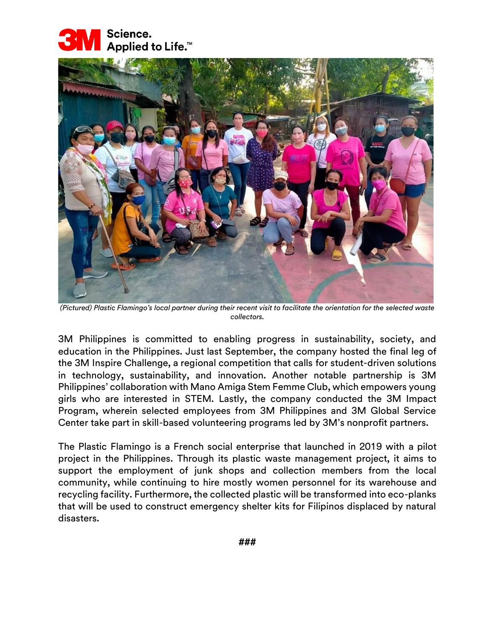



*(Pictured) Plastic Flamingo's local partner during their recent visit to facilitate the orientation for the selected waste collectors.*

3M Philippines is committed to enabling progress in sustainability, society, and education in the Philippines. Just last September, the company hosted the final leg of the 3M Inspire Challenge, a regional competition that calls for student-driven solutions in technology, sustainability, and innovation. Another notable partnership is 3M Philippines' collaboration with Mano Amiga Stem Femme Club, which empowers young girls who are interested in STEM. Lastly, the company conducted the 3M Impact Program, wherein selected employees from 3M Philippines and 3M Global Service Center take part in skill-based volunteering programs led by 3M's nonprofit partners.

The Plastic Flamingo is a French social enterprise that launched in 2019 with a pilot project in the Philippines. Through its plastic waste management project, it aims to support the employment of junk shops and collection members from the local community, while continuing to hire mostly women personnel for its warehouse and recycling facility. Furthermore, the collected plastic will be transformed into eco-planks that will be used to construct emergency shelter kits for Filipinos displaced by natural disasters.